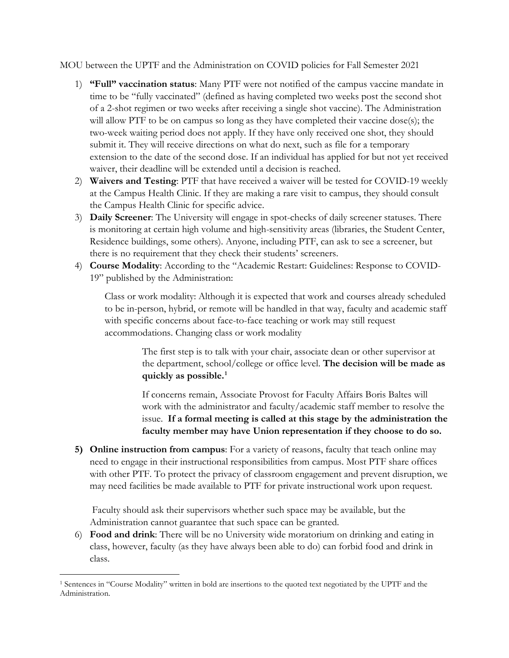MOU between the UPTF and the Administration on COVID policies for Fall Semester 2021

- 1) **"Full" vaccination status**: Many PTF were not notified of the campus vaccine mandate in time to be "fully vaccinated" (defined as having completed two weeks post the second shot of a 2-shot regimen or two weeks after receiving a single shot vaccine). The Administration will allow PTF to be on campus so long as they have completed their vaccine dose(s); the two-week waiting period does not apply. If they have only received one shot, they should submit it. They will receive directions on what do next, such as file for a temporary extension to the date of the second dose. If an individual has applied for but not yet received waiver, their deadline will be extended until a decision is reached.
- 2) **Waivers and Testing**: PTF that have received a waiver will be tested for COVID-19 weekly at the Campus Health Clinic. If they are making a rare visit to campus, they should consult the Campus Health Clinic for specific advice.
- 3) **Daily Screener**: The University will engage in spot-checks of daily screener statuses. There is monitoring at certain high volume and high-sensitivity areas (libraries, the Student Center, Residence buildings, some others). Anyone, including PTF, can ask to see a screener, but there is no requirement that they check their students' screeners.
- 4) **Course Modality**: According to the "Academic Restart: Guidelines: Response to COVID-19" published by the Administration:

Class or work modality: Although it is expected that work and courses already scheduled to be in-person, hybrid, or remote will be handled in that way, faculty and academic staff with specific concerns about face-to-face teaching or work may still request accommodations. Changing class or work modality

> The first step is to talk with your chair, associate dean or other supervisor at the department, school/college or office level. **The decision will be made as quickly as possible.[1](#page-0-0)**

> If concerns remain, Associate Provost for Faculty Affairs Boris Baltes will work with the administrator and faculty/academic staff member to resolve the issue. **If a formal meeting is called at this stage by the administration the faculty member may have Union representation if they choose to do so.**

**5) Online instruction from campus**: For a variety of reasons, faculty that teach online may need to engage in their instructional responsibilities from campus. Most PTF share offices with other PTF. To protect the privacy of classroom engagement and prevent disruption, we may need facilities be made available to PTF for private instructional work upon request.

Faculty should ask their supervisors whether such space may be available, but the Administration cannot guarantee that such space can be granted.

6) **Food and drink**: There will be no University wide moratorium on drinking and eating in class, however, faculty (as they have always been able to do) can forbid food and drink in class.

<span id="page-0-0"></span><sup>1</sup> Sentences in "Course Modality" written in bold are insertions to the quoted text negotiated by the UPTF and the Administration.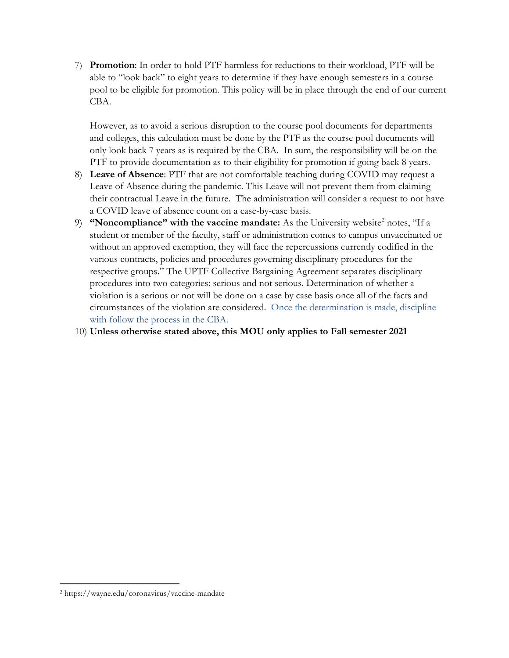7) **Promotion**: In order to hold PTF harmless for reductions to their workload, PTF will be able to "look back" to eight years to determine if they have enough semesters in a course pool to be eligible for promotion. This policy will be in place through the end of our current CBA.

However, as to avoid a serious disruption to the course pool documents for departments and colleges, this calculation must be done by the PTF as the course pool documents will only look back 7 years as is required by the CBA. In sum, the responsibility will be on the PTF to provide documentation as to their eligibility for promotion if going back 8 years.

- 8) **Leave of Absence**: PTF that are not comfortable teaching during COVID may request a Leave of Absence during the pandemic. This Leave will not prevent them from claiming their contractual Leave in the future. The administration will consider a request to not have a COVID leave of absence count on a case-by-case basis.
- 9) **"Noncompliance" with the vaccine mandate:** As the University website<sup>[2](#page-1-0)</sup> notes, "If a student or member of the faculty, staff or administration comes to campus unvaccinated or without an approved exemption, they will face the repercussions currently codified in the various contracts, policies and procedures governing disciplinary procedures for the respective groups." The UPTF Collective Bargaining Agreement separates disciplinary procedures into two categories: serious and not serious. Determination of whether a violation is a serious or not will be done on a case by case basis once all of the facts and circumstances of the violation are considered. Once the determination is made, discipline with follow the process in the CBA.

## 10) **Unless otherwise stated above, this MOU only applies to Fall semester 2021**

<span id="page-1-0"></span><sup>2</sup> https://wayne.edu/coronavirus/vaccine-mandate